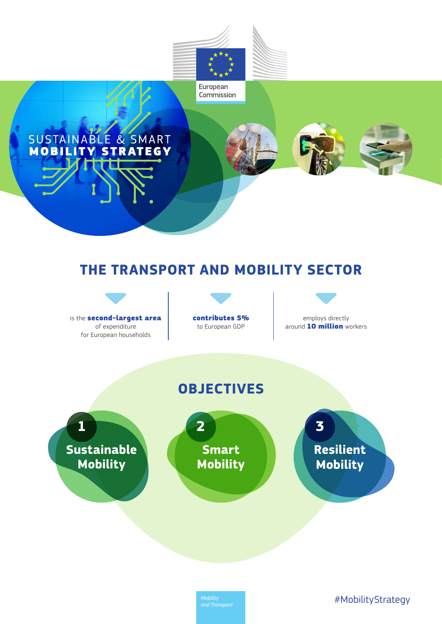

# SUSTAINABLE & SMART

## **THE TRANSPORT AND MOBILITY SECTOR**



contributes 5% to European GDP



around 10 **million** workers

**OBJECTIVES**

**Sustainable Mobility 1 Smart Mobility 2 Resilient Mobility 3**

#MobilityStrategy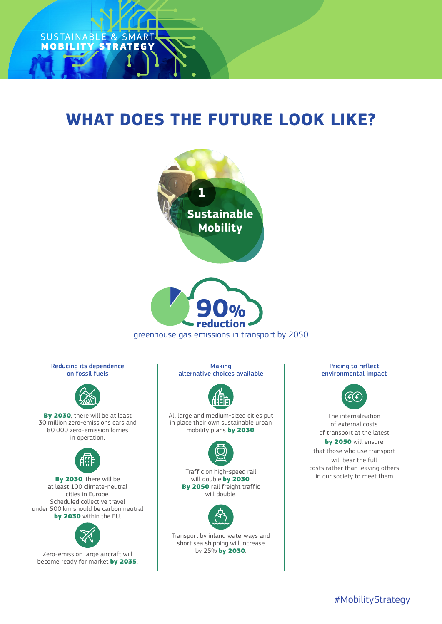

## **WHAT DOES THE FUTURE LOOK LIKE?**



greenhouse gas emissions in transport by 2050

#### Reducing its dependence on fossil fuels



By 2030, there will be at least 30 million zero-emissions cars and 80 000 zero-emission lorries in operation.



By 2030, there will be at least 100 climate-neutral cities in Europe. Scheduled collective travel under 500 km should be carbon neutral by 2030 within the EU.



Zero-emission large aircraft will become ready for market by 2035.

Making alternative choices available



All large and medium-sized cities put in place their own sustainable urban mobility plans by 2030.



Traffic on high-speed rail will double by 2030. By 2050 rail freight traffic will double.



Transport by inland waterways and short sea shipping will increase by 25% by 2030.

### Pricing to reflect environmental impact



The internalisation of external costs of transport at the latest by 2050 will ensure that those who use transport will bear the full costs rather than leaving others in our society to meet them.